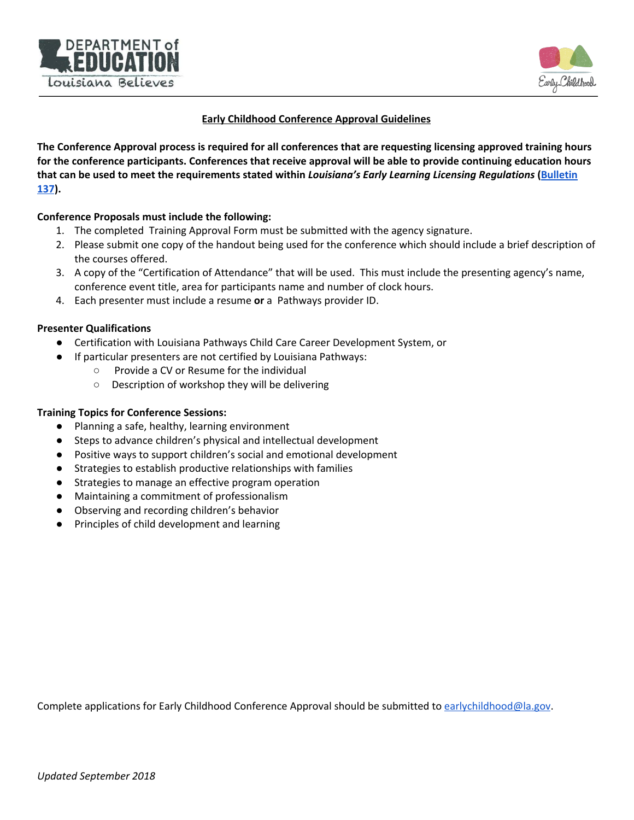



## **Early Childhood Conference Approval Guidelines**

The Conference Approval process is required for all conferences that are requesting licensing approved training hours for the conference participants. Conferences that receive approval will be able to provide continuing education hours that can be used to meet the requirements stated within Louisiana's Early Learning Licensing Regulations ([Bulletin](https://www.louisianabelieves.com/early-childhood/child-care-and-development-fund-licensing) **[137](https://www.louisianabelieves.com/early-childhood/child-care-and-development-fund-licensing)).**

## **Conference Proposals must include the following:**

- 1. The completed Training Approval Form must be submitted with the agency signature.
- 2. Please submit one copy of the handout being used for the conference which should include a brief description of the courses offered.
- 3. A copy of the "Certification of Attendance" that will be used. This must include the presenting agency's name, conference event title, area for participants name and number of clock hours.
- 4. Each presenter must include a resume **or** a Pathways provider ID.

## **Presenter Qualifications**

- Certification with Louisiana Pathways Child Care Career Development System, or
- If particular presenters are not certified by Louisiana Pathways:
	- Provide a CV or Resume for the individual
	- Description of workshop they will be delivering

## **Training Topics for Conference Sessions:**

- Planning a safe, healthy, learning environment
- Steps to advance children's physical and intellectual development
- Positive ways to support children's social and emotional development
- Strategies to establish productive relationships with families
- Strategies to manage an effective program operation
- Maintaining a commitment of professionalism
- Observing and recording children's behavior
- Principles of child development and learning

Complete applications for Early Childhood Conference Approval should be submitted to [earlychildhood@la.gov](mailto:earlychildhood@la.gov).